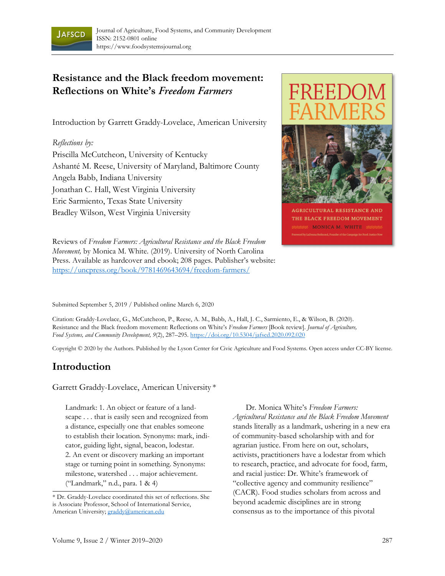

# **Resistance and the Black freedom movement: Reflections on White's** *Freedom Farmers*

Introduction by Garrett Graddy-Lovelace, American University

#### *Reflections by:*

Priscilla McCutcheon, University of Kentucky Ashanté M. Reese, University of Maryland, Baltimore County Angela Babb, Indiana University Jonathan C. Hall, West Virginia University Eric Sarmiento, Texas State University Bradley Wilson, West Virginia University



**AGRICULTURAL RESISTANCE AND** THE BLACK FREEDOM MOVEMENT **MONICA M. WHITE** MANAGEMENT

Reviews of *Freedom Farmers: Agricultural Resistance and the Black Freedom Movement,* by Monica M. White. (2019). University of North Carolina Press. Available as hardcover and ebook; 208 pages. Publisher's website: https://uncpress.org/book/9781469643694/freedom-farmers/

#### Submitted September 5, 2019 / Published online March 6, 2020

Citation: Graddy-Lovelace, G., McCutcheon, P., Reese, A. M., Babb, A., Hall, J. C., Sarmiento, E., & Wilson, B. (2020). Resistance and the Black freedom movement: Reflections on White's *Freedom Farmers* [Book review]. *Journal of Agriculture, Food Systems, and Community Development, 9*(2), 287–295. https://doi.org/10.5304/jafscd.2020.092.020

Copyright © 2020 by the Authors. Published by the Lyson Center for Civic Agriculture and Food Systems. Open access under CC-BY license.

### **Introduction**

Garrett Graddy-Lovelace, American University \*

Landmark: 1. An object or feature of a landscape . . . that is easily seen and recognized from a distance, especially one that enables someone to establish their location. Synonyms: mark, indicator, guiding light, signal, beacon, lodestar. 2. An event or discovery marking an important stage or turning point in something. Synonyms: milestone, watershed . . . major achievement. ("Landmark," n.d., para. 1 & 4)

 Dr. Monica White's *Freedom Farmers: Agricultural Resistance and the Black Freedom Movement* stands literally as a landmark, ushering in a new era of community-based scholarship with and for agrarian justice. From here on out, scholars, activists, practitioners have a lodestar from which to research, practice, and advocate for food, farm, and racial justice: Dr. White's framework of "collective agency and community resilience" (CACR). Food studies scholars from across and beyond academic disciplines are in strong consensus as to the importance of this pivotal

<sup>\*</sup> Dr. Graddy-Lovelace coordinated this set of reflections. She is Associate Professor, School of International Service, American University; graddy@american.edu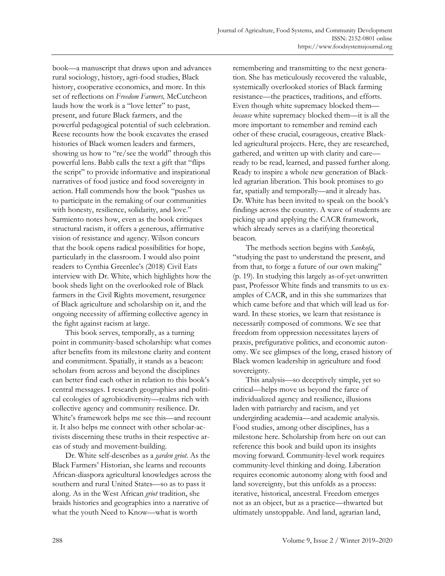book—a manuscript that draws upon and advances rural sociology, history, agri-food studies, Black history, cooperative economics, and more. In this set of reflections on *Freedom Farmers,* McCutcheon lauds how the work is a "love letter" to past, present, and future Black farmers, and the powerful pedagogical potential of such celebration. Reese recounts how the book excavates the erased histories of Black women leaders and farmers, showing us how to "re/see the world" through this powerful lens. Babb calls the text a gift that "flips the script" to provide informative and inspirational narratives of food justice and food sovereignty in action. Hall commends how the book "pushes us to participate in the remaking of our communities with honesty, resilience, solidarity, and love." Sarmiento notes how, even as the book critiques structural racism, it offers a generous, affirmative vision of resistance and agency. Wilson concurs that the book opens radical possibilities for hope, particularly in the classroom. I would also point readers to Cynthia Greenlee's (2018) Civil Eats interview with Dr. White, which highlights how the book sheds light on the overlooked role of Black farmers in the Civil Rights movement, resurgence of Black agriculture and scholarship on it, and the ongoing necessity of affirming collective agency in the fight against racism at large.

 This book serves, temporally, as a turning point in community-based scholarship: what comes after benefits from its milestone clarity and content and commitment. Spatially, it stands as a beacon: scholars from across and beyond the disciplines can better find each other in relation to this book's central messages. I research geographies and political ecologies of agrobiodiversity—realms rich with collective agency and community resilience. Dr. White's framework helps me see this—and recount it. It also helps me connect with other scholar-activists discerning these truths in their respective areas of study and movement-building.

 Dr. White self-describes as a *garden griot*. As the Black Farmers' Historian, she learns and recounts African-diaspora agricultural knowledges across the southern and rural United States—so as to pass it along. As in the West African *griot* tradition, she braids histories and geographies into a narrative of what the youth Need to Know—what is worth

remembering and transmitting to the next generation. She has meticulously recovered the valuable, systemically overlooked stories of Black farming resistance—the practices, traditions, and efforts. Even though white supremacy blocked them *because* white supremacy blocked them—it is all the more important to remember and remind each other of these crucial, courageous, creative Blackled agricultural projects. Here, they are researched, gathered, and written up with clarity and care ready to be read, learned, and passed further along. Ready to inspire a whole new generation of Blackled agrarian liberation. This book promises to go far, spatially and temporally—and it already has. Dr. White has been invited to speak on the book's findings across the country. A wave of students are picking up and applying the CACR framework, which already serves as a clarifying theoretical beacon.

 The methods section begins with *Sankofa*, "studying the past to understand the present, and from that, to forge a future of our own making" (p. 19). In studying this largely as-of-yet-unwritten past, Professor White finds and transmits to us examples of CACR, and in this she summarizes that which came before and that which will lead us forward. In these stories, we learn that resistance is necessarily composed of commons. We see that freedom from oppression necessitates layers of praxis, prefigurative politics, and economic autonomy. We see glimpses of the long, erased history of Black women leadership in agriculture and food sovereignty.

 This analysis—so deceptively simple, yet so critical—helps move us beyond the farce of individualized agency and resilience, illusions laden with patriarchy and racism, and yet undergirding academia—and academic analysis. Food studies, among other disciplines, has a milestone here. Scholarship from here on out can reference this book and build upon its insights moving forward. Community-level work requires community-level thinking and doing. Liberation requires economic autonomy along with food and land sovereignty, but this unfolds as a process: iterative, historical, ancestral. Freedom emerges not as an object, but as a practice—thwarted but ultimately unstoppable. And land, agrarian land,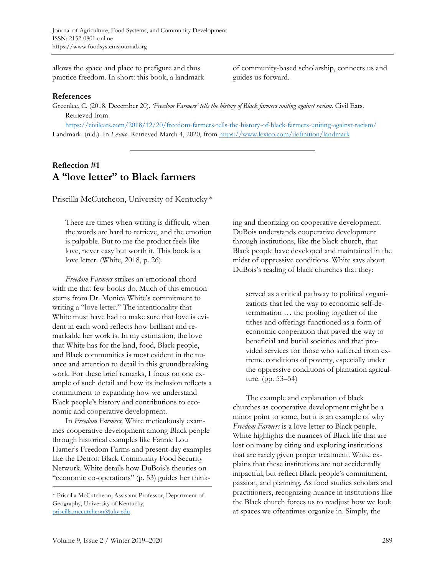allows the space and place to prefigure and thus practice freedom. In short: this book, a landmark of community-based scholarship, connects us and guides us forward.

#### **References**

Greenlee, C. (2018, December 20). *'Freedom Farmers' tells the history of Black farmers uniting against racism*. Civil Eats. Retrieved from

https://civileats.com/2018/12/20/freedom-farmers-tells-the-history-of-black-farmers-uniting-against-racism/ Landmark. (n.d.). In *Lexico.* Retrieved March 4, 2020, from https://www.lexico.com/definition/landmark

### **Reflection #1 A "love letter" to Black farmers**

Priscilla McCutcheon, University of Kentucky \*

There are times when writing is difficult, when the words are hard to retrieve, and the emotion is palpable. But to me the product feels like love, never easy but worth it. This book is a love letter. (White, 2018, p. 26).

 *Freedom Farmers* strikes an emotional chord with me that few books do. Much of this emotion stems from Dr. Monica White's commitment to writing a "love letter." The intentionality that White must have had to make sure that love is evident in each word reflects how brilliant and remarkable her work is. In my estimation, the love that White has for the land, food, Black people, and Black communities is most evident in the nuance and attention to detail in this groundbreaking work. For these brief remarks, I focus on one example of such detail and how its inclusion reflects a commitment to expanding how we understand Black people's history and contributions to economic and cooperative development.

 In *Freedom Farmers,* White meticulously examines cooperative development among Black people through historical examples like Fannie Lou Hamer's Freedom Farms and present-day examples like the Detroit Black Community Food Security Network. White details how DuBois's theories on "economic co-operations" (p. 53) guides her thinking and theorizing on cooperative development. DuBois understands cooperative development through institutions, like the black church, that Black people have developed and maintained in the midst of oppressive conditions. White says about DuBois's reading of black churches that they:

served as a critical pathway to political organizations that led the way to economic self-determination … the pooling together of the tithes and offerings functioned as a form of economic cooperation that paved the way to beneficial and burial societies and that provided services for those who suffered from extreme conditions of poverty, especially under the oppressive conditions of plantation agriculture. (pp. 53–54)

 The example and explanation of black churches as cooperative development might be a minor point to some, but it is an example of why *Freedom Farmers* is a love letter to Black people. White highlights the nuances of Black life that are lost on many by citing and exploring institutions that are rarely given proper treatment. White explains that these institutions are not accidentally impactful, but reflect Black people's commitment, passion, and planning. As food studies scholars and practitioners, recognizing nuance in institutions like the Black church forces us to readjust how we look at spaces we oftentimes organize in. Simply, the

<sup>\*</sup> Priscilla McCutcheon, Assistant Professor, Department of Geography, University of Kentucky, priscilla.mccutcheon@uky.edu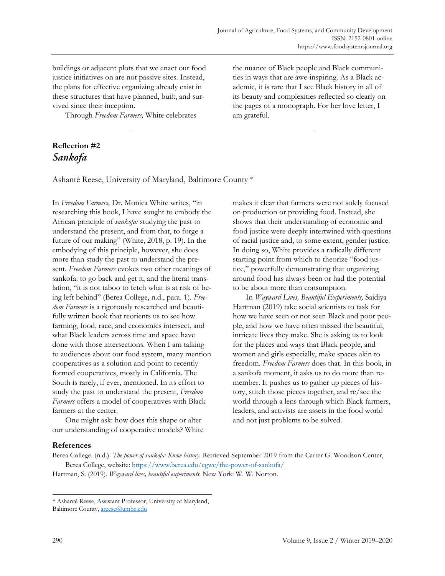buildings or adjacent plots that we enact our food justice initiatives on are not passive sites. Instead, the plans for effective organizing already exist in these structures that have planned, built, and survived since their inception.

Through *Freedom Farmers,* White celebrates

the nuance of Black people and Black communities in ways that are awe-inspiring. As a Black academic, it is rare that I see Black history in all of its beauty and complexities reflected so clearly on the pages of a monograph. For her love letter, I am grateful.

### **Reflection #2**  *Sankofa*

Ashanté Reese, University of Maryland, Baltimore County \*

In *Freedom Farmers,* Dr. Monica White writes, "in researching this book, I have sought to embody the African principle of *sankofa:* studying the past to understand the present, and from that, to forge a future of our making" (White, 2018, p. 19). In the embodying of this principle, however, she does more than study the past to understand the present. *Freedom Farmers* evokes two other meanings of sankofa: to go back and get it, and the literal translation, "it is not taboo to fetch what is at risk of being left behind" (Berea College, n.d., para. 1). *Freedom Farmers* is a rigorously researched and beautifully written book that reorients us to see how farming, food, race, and economics intersect, and what Black leaders across time and space have done with those intersections. When I am talking to audiences about our food system, many mention cooperatives as a solution and point to recently formed cooperatives, mostly in California. The South is rarely, if ever, mentioned. In its effort to study the past to understand the present, *Freedom Farmers* offers a model of cooperatives with Black farmers at the center.

 One might ask: how does this shape or alter our understanding of cooperative models? White makes it clear that farmers were not solely focused on production or providing food. Instead, she shows that their understanding of economic and food justice were deeply intertwined with questions of racial justice and, to some extent, gender justice. In doing so, White provides a radically different starting point from which to theorize "food justice," powerfully demonstrating that organizing around food has always been or had the potential to be about more than consumption.

 In *Wayward Lives, Beautiful Experiments,* Saidiya Hartman (2019) take social scientists to task for how we have seen or not seen Black and poor people, and how we have often missed the beautiful, intricate lives they make. She is asking us to look for the places and ways that Black people, and women and girls especially, make spaces akin to freedom. *Freedom Farmers* does that. In this book, in a sankofa moment, it asks us to do more than remember. It pushes us to gather up pieces of history, stitch those pieces together, and re/see the world through a lens through which Black farmers, leaders, and activists are assets in the food world and not just problems to be solved.

### **References**

Berea College. (n.d.). *The power of sankofa: Know history.* Retrieved September 2019 from the Carter G. Woodson Center, Berea College, website: https://www.berea.edu/cgwc/the-power-of-sankofa/

Hartman, S. (2019). *Wayward lives, beautiful experiments.* New York: W. W. Norton.

<sup>\*</sup> Ashanté Reese, Assistant Professor, University of Maryland, Baltimore County, areese@umbc.edu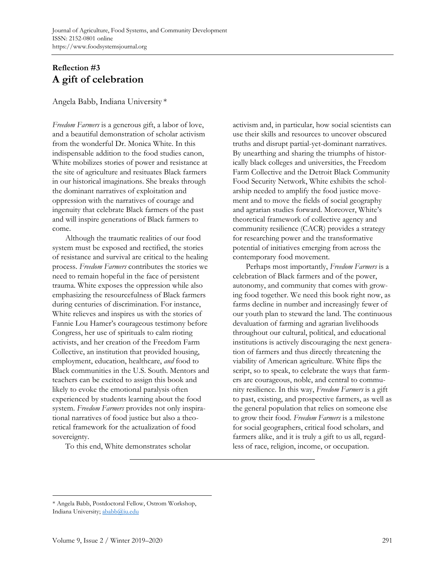## **Reflection #3 A gift of celebration**

Angela Babb, Indiana University \*

*Freedom Farmers* is a generous gift, a labor of love, and a beautiful demonstration of scholar activism from the wonderful Dr. Monica White. In this indispensable addition to the food studies canon, White mobilizes stories of power and resistance at the site of agriculture and resituates Black farmers in our historical imaginations. She breaks through the dominant narratives of exploitation and oppression with the narratives of courage and ingenuity that celebrate Black farmers of the past and will inspire generations of Black farmers to come.

 Although the traumatic realities of our food system must be exposed and rectified, the stories of resistance and survival are critical to the healing process. *Freedom Farmers* contributes the stories we need to remain hopeful in the face of persistent trauma. White exposes the oppression while also emphasizing the resourcefulness of Black farmers during centuries of discrimination. For instance, White relieves and inspires us with the stories of Fannie Lou Hamer's courageous testimony before Congress, her use of spirituals to calm rioting activists, and her creation of the Freedom Farm Collective, an institution that provided housing, employment, education, healthcare, *and* food to Black communities in the U.S. South. Mentors and teachers can be excited to assign this book and likely to evoke the emotional paralysis often experienced by students learning about the food system. *Freedom Farmers* provides not only inspirational narratives of food justice but also a theoretical framework for the actualization of food sovereignty.

To this end, White demonstrates scholar

activism and, in particular, how social scientists can use their skills and resources to uncover obscured truths and disrupt partial-yet-dominant narratives. By unearthing and sharing the triumphs of historically black colleges and universities, the Freedom Farm Collective and the Detroit Black Community Food Security Network, White exhibits the scholarship needed to amplify the food justice movement and to move the fields of social geography and agrarian studies forward. Moreover, White's theoretical framework of collective agency and community resilience (CACR) provides a strategy for researching power and the transformative potential of initiatives emerging from across the contemporary food movement.

 Perhaps most importantly, *Freedom Farmers* is a celebration of Black farmers and of the power, autonomy, and community that comes with growing food together. We need this book right now, as farms decline in number and increasingly fewer of our youth plan to steward the land. The continuous devaluation of farming and agrarian livelihoods throughout our cultural, political, and educational institutions is actively discouraging the next generation of farmers and thus directly threatening the viability of American agriculture. White flips the script, so to speak, to celebrate the ways that farmers are courageous, noble, and central to community resilience. In this way, *Freedom Farmers* is a gift to past, existing, and prospective farmers, as well as the general population that relies on someone else to grow their food. *Freedom Farmers* is a milestone for social geographers, critical food scholars, and farmers alike, and it is truly a gift to us all, regardless of race, religion, income, or occupation.

<sup>\*</sup> Angela Babb, Postdoctoral Fellow, Ostrom Workshop, Indiana University; ababb@iu.edu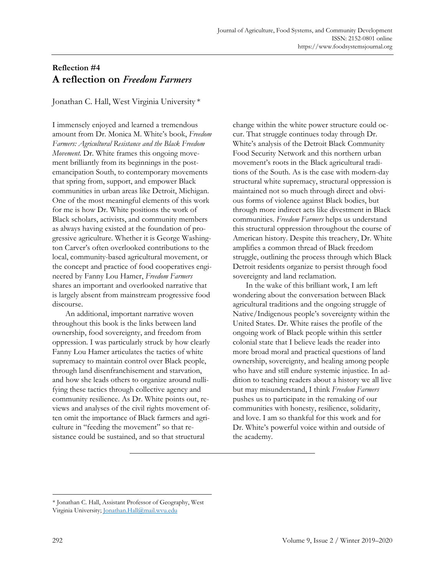### **Reflection #4 A reflection on** *Freedom Farmers*

Jonathan C. Hall, West Virginia University \*

I immensely enjoyed and learned a tremendous amount from Dr. Monica M. White's book, *Freedom Farmers: Agricultural Resistance and the Black Freedom Movement.* Dr. White frames this ongoing movement brilliantly from its beginnings in the postemancipation South, to contemporary movements that spring from, support, and empower Black communities in urban areas like Detroit, Michigan. One of the most meaningful elements of this work for me is how Dr. White positions the work of Black scholars, activists, and community members as always having existed at the foundation of progressive agriculture. Whether it is George Washington Carver's often overlooked contributions to the local, community-based agricultural movement, or the concept and practice of food cooperatives engineered by Fanny Lou Hamer, *Freedom Farmers* shares an important and overlooked narrative that is largely absent from mainstream progressive food discourse.

 An additional, important narrative woven throughout this book is the links between land ownership, food sovereignty, and freedom from oppression. I was particularly struck by how clearly Fanny Lou Hamer articulates the tactics of white supremacy to maintain control over Black people, through land disenfranchisement and starvation, and how she leads others to organize around nullifying these tactics through collective agency and community resilience. As Dr. White points out, reviews and analyses of the civil rights movement often omit the importance of Black farmers and agriculture in "feeding the movement" so that resistance could be sustained, and so that structural

change within the white power structure could occur. That struggle continues today through Dr. White's analysis of the Detroit Black Community Food Security Network and this northern urban movement's roots in the Black agricultural traditions of the South. As is the case with modern-day structural white supremacy, structural oppression is maintained not so much through direct and obvious forms of violence against Black bodies, but through more indirect acts like divestment in Black communities. *Freedom Farmers* helps us understand this structural oppression throughout the course of American history. Despite this treachery, Dr. White amplifies a common thread of Black freedom struggle, outlining the process through which Black Detroit residents organize to persist through food sovereignty and land reclamation.

 In the wake of this brilliant work, I am left wondering about the conversation between Black agricultural traditions and the ongoing struggle of Native/Indigenous people's sovereignty within the United States. Dr. White raises the profile of the ongoing work of Black people within this settler colonial state that I believe leads the reader into more broad moral and practical questions of land ownership, sovereignty, and healing among people who have and still endure systemic injustice. In addition to teaching readers about a history we all live but may misunderstand, I think *Freedom Farmers* pushes us to participate in the remaking of our communities with honesty, resilience, solidarity, and love. I am so thankful for this work and for Dr. White's powerful voice within and outside of the academy.

<sup>\*</sup> Jonathan C. Hall, Assistant Professor of Geography, West Virginia University; Jonathan.Hall@mail.wvu.edu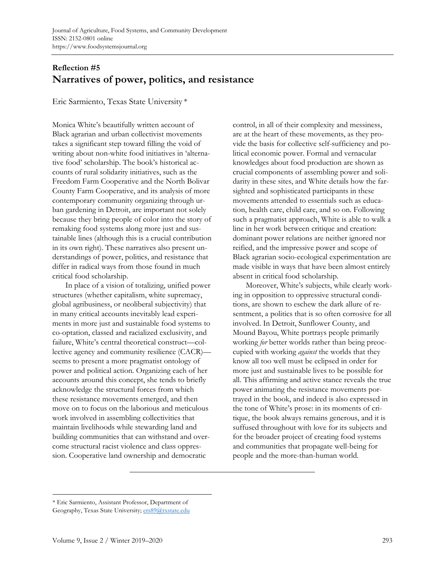## **Reflection #5 Narratives of power, politics, and resistance**

Eric Sarmiento, Texas State University \*

Monica White's beautifully written account of Black agrarian and urban collectivist movements takes a significant step toward filling the void of writing about non-white food initiatives in 'alternative food' scholarship. The book's historical accounts of rural solidarity initiatives, such as the Freedom Farm Cooperative and the North Bolivar County Farm Cooperative, and its analysis of more contemporary community organizing through urban gardening in Detroit, are important not solely because they bring people of color into the story of remaking food systems along more just and sustainable lines (although this is a crucial contribution in its own right). These narratives also present understandings of power, politics, and resistance that differ in radical ways from those found in much critical food scholarship.

 In place of a vision of totalizing, unified power structures (whether capitalism, white supremacy, global agribusiness, or neoliberal subjectivity) that in many critical accounts inevitably lead experiments in more just and sustainable food systems to co-optation, classed and racialized exclusivity, and failure, White's central theoretical construct—collective agency and community resilience (CACR) seems to present a more pragmatist ontology of power and political action. Organizing each of her accounts around this concept, she tends to briefly acknowledge the structural forces from which these resistance movements emerged, and then move on to focus on the laborious and meticulous work involved in assembling collectivities that maintain livelihoods while stewarding land and building communities that can withstand and overcome structural racist violence and class oppression. Cooperative land ownership and democratic

control, in all of their complexity and messiness, are at the heart of these movements, as they provide the basis for collective self-sufficiency and political economic power. Formal and vernacular knowledges about food production are shown as crucial components of assembling power and solidarity in these sites, and White details how the farsighted and sophisticated participants in these movements attended to essentials such as education, health care, child care, and so on. Following such a pragmatist approach, White is able to walk a line in her work between critique and creation: dominant power relations are neither ignored nor reified, and the impressive power and scope of Black agrarian socio-ecological experimentation are made visible in ways that have been almost entirely absent in critical food scholarship.

 Moreover, White's subjects, while clearly working in opposition to oppressive structural conditions, are shown to eschew the dark allure of resentment, a politics that is so often corrosive for all involved. In Detroit, Sunflower County, and Mound Bayou, White portrays people primarily working *for* better worlds rather than being preoccupied with working *against* the worlds that they know all too well must be eclipsed in order for more just and sustainable lives to be possible for all. This affirming and active stance reveals the true power animating the resistance movements portrayed in the book, and indeed is also expressed in the tone of White's prose: in its moments of critique, the book always remains generous, and it is suffused throughout with love for its subjects and for the broader project of creating food systems and communities that propagate well-being for people and the more-than-human world.

<sup>\*</sup> Eric Sarmiento, Assistant Professor, Department of Geography, Texas State University; ers89@txstate.edu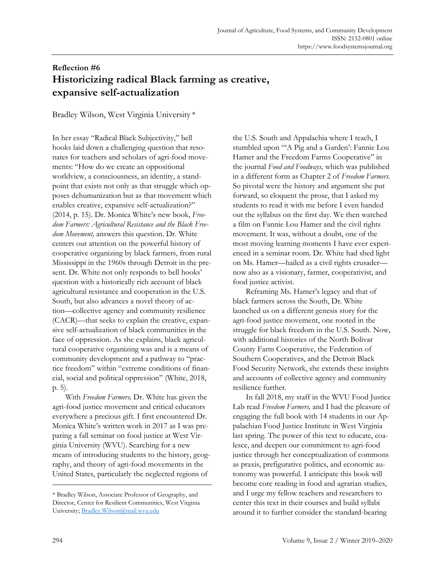# **Reflection #6 Historicizing radical Black farming as creative, expansive self-actualization**

Bradley Wilson, West Virginia University \*

In her essay "Radical Black Subjectivity," bell hooks laid down a challenging question that resonates for teachers and scholars of agri-food movements: "How do we create an oppositional worldview, a consciousness, an identity, a standpoint that exists not only as that struggle which opposes dehumanization but as that movement which enables creative, expansive self-actualization?" (2014, p. 15). Dr. Monica White's new book, *Freedom Farmers: Agricultural Resistance and the Black Freedom Movement,* answers this question. Dr. White centers our attention on the powerful history of cooperative organizing by black farmers, from rural Mississippi in the 1960s through Detroit in the present. Dr. White not only responds to bell hooks' question with a historically rich account of black agricultural resistance and cooperation in the U.S. South, but also advances a novel theory of action—collective agency and community resilience (CACR)—that seeks to explain the creative, expansive self-actualization of black communities in the face of oppression. As she explains, black agricultural cooperative organizing was and is a means of community development and a pathway to "practice freedom" within "extreme conditions of financial, social and political oppression" (White, 2018, p. 5).

 With *Freedom Farmers,* Dr. White has given the agri-food justice movement and critical educators everywhere a precious gift. I first encountered Dr. Monica White's written work in 2017 as I was preparing a fall seminar on food justice at West Virginia University (WVU). Searching for a new means of introducing students to the history, geography, and theory of agri-food movements in the United States, particularly the neglected regions of

the U.S. South and Appalachia where I teach, I stumbled upon "'A Pig and a Garden': Fannie Lou Hamer and the Freedom Farms Cooperative" in the journal *Food and Foodways,* which was published in a different form as Chapter 2 of *Freedom Farmers.* So pivotal were the history and argument she put forward, so eloquent the prose, that I asked my students to read it with me before I even handed out the syllabus on the first day. We then watched a film on Fannie Lou Hamer and the civil rights movement. It was, without a doubt, one of the most moving learning moments I have ever experienced in a seminar room. Dr. White had shed light on Ms. Hamer—hailed as a civil rights crusader now also as a visionary, farmer, cooperativist, and food justice activist.

 Reframing Ms. Hamer's legacy and that of black farmers across the South, Dr. White launched us on a different genesis story for the agri-food justice movement, one rooted in the struggle for black freedom in the U.S. South. Now, with additional histories of the North Bolivar County Farm Cooperative, the Federation of Southern Cooperatives, and the Detroit Black Food Security Network, she extends these insights and accounts of collective agency and community resilience further.

 In fall 2018, my staff in the WVU Food Justice Lab read *Freedom Farmers,* and I had the pleasure of engaging the full book with 14 students in our Appalachian Food Justice Institute in West Virginia last spring. The power of this text to educate, coalesce, and deepen our commitment to agri-food justice through her conceptualization of commons as praxis, prefigurative politics, and economic autonomy was powerful. I anticipate this book will become core reading in food and agrarian studies, and I urge my fellow teachers and researchers to center this text in their courses and build syllabi around it to further consider the standard-bearing

<sup>\*</sup> Bradley Wilson, Associate Professor of Geography, and Director, Center for Resilient Communities, West Virginia University; Bradley.Wilson@mail.wvu.edu